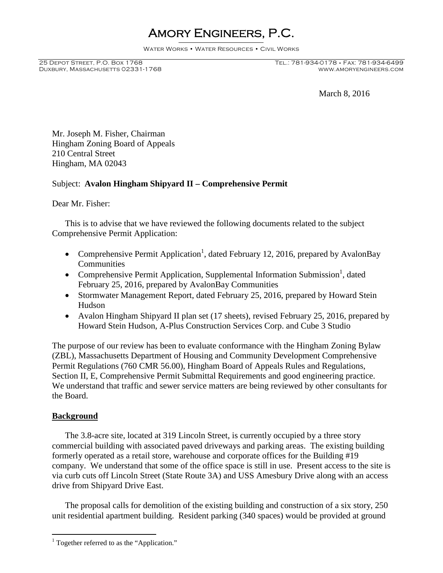# Amory Engineers, P.C.

Water Works • Water Resources • Civil Works

DUXBURY, MASSACHUSETTS 02331-1768

## 25 Depot Street, P.O. Box 1768 Tel.: 781-934-0178 • Fax: 781-934-6499

March 8, 2016

Mr. Joseph M. Fisher, Chairman Hingham Zoning Board of Appeals 210 Central Street Hingham, MA 02043

### Subject: **Avalon Hingham Shipyard II – Comprehensive Permit**

Dear Mr. Fisher:

This is to advise that we have reviewed the following documents related to the subject Comprehensive Permit Application:

- Comprehensive Permit Application<sup>1</sup>, dated February 12, 2016, prepared by AvalonBay **Communities**
- Comprehensive Permit Application, Supplemental Information Submission<sup>1</sup>, dated February 25, 2016, prepared by AvalonBay Communities
- Stormwater Management Report, dated February 25, 2016, prepared by Howard Stein Hudson
- Avalon Hingham Shipyard II plan set (17 sheets), revised February 25, 2016, prepared by Howard Stein Hudson, A-Plus Construction Services Corp. and Cube 3 Studio

The purpose of our review has been to evaluate conformance with the Hingham Zoning Bylaw (ZBL), Massachusetts Department of Housing and Community Development Comprehensive Permit Regulations (760 CMR 56.00), Hingham Board of Appeals Rules and Regulations, Section II, E, Comprehensive Permit Submittal Requirements and good engineering practice. We understand that traffic and sewer service matters are being reviewed by other consultants for the Board.

#### **Background**

The 3.8-acre site, located at 319 Lincoln Street, is currently occupied by a three story commercial building with associated paved driveways and parking areas. The existing building formerly operated as a retail store, warehouse and corporate offices for the Building #19 company. We understand that some of the office space is still in use. Present access to the site is via curb cuts off Lincoln Street (State Route 3A) and USS Amesbury Drive along with an access drive from Shipyard Drive East.

The proposal calls for demolition of the existing building and construction of a six story, 250 unit residential apartment building. Resident parking (340 spaces) would be provided at ground

<sup>&</sup>lt;sup>1</sup> Together referred to as the "Application."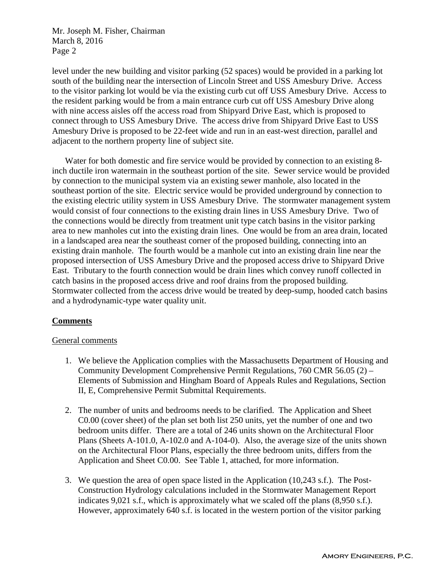level under the new building and visitor parking (52 spaces) would be provided in a parking lot south of the building near the intersection of Lincoln Street and USS Amesbury Drive. Access to the visitor parking lot would be via the existing curb cut off USS Amesbury Drive. Access to the resident parking would be from a main entrance curb cut off USS Amesbury Drive along with nine access aisles off the access road from Shipyard Drive East, which is proposed to connect through to USS Amesbury Drive. The access drive from Shipyard Drive East to USS Amesbury Drive is proposed to be 22-feet wide and run in an east-west direction, parallel and adjacent to the northern property line of subject site.

Water for both domestic and fire service would be provided by connection to an existing 8 inch ductile iron watermain in the southeast portion of the site. Sewer service would be provided by connection to the municipal system via an existing sewer manhole, also located in the southeast portion of the site. Electric service would be provided underground by connection to the existing electric utility system in USS Amesbury Drive. The stormwater management system would consist of four connections to the existing drain lines in USS Amesbury Drive. Two of the connections would be directly from treatment unit type catch basins in the visitor parking area to new manholes cut into the existing drain lines. One would be from an area drain, located in a landscaped area near the southeast corner of the proposed building, connecting into an existing drain manhole. The fourth would be a manhole cut into an existing drain line near the proposed intersection of USS Amesbury Drive and the proposed access drive to Shipyard Drive East. Tributary to the fourth connection would be drain lines which convey runoff collected in catch basins in the proposed access drive and roof drains from the proposed building. Stormwater collected from the access drive would be treated by deep-sump, hooded catch basins and a hydrodynamic-type water quality unit.

#### **Comments**

#### General comments

- 1. We believe the Application complies with the Massachusetts Department of Housing and Community Development Comprehensive Permit Regulations, 760 CMR 56.05 (2) – Elements of Submission and Hingham Board of Appeals Rules and Regulations, Section II, E, Comprehensive Permit Submittal Requirements.
- 2. The number of units and bedrooms needs to be clarified. The Application and Sheet C0.00 (cover sheet) of the plan set both list 250 units, yet the number of one and two bedroom units differ. There are a total of 246 units shown on the Architectural Floor Plans (Sheets A-101.0, A-102.0 and A-104-0). Also, the average size of the units shown on the Architectural Floor Plans, especially the three bedroom units, differs from the Application and Sheet C0.00. See Table 1, attached, for more information.
- 3. We question the area of open space listed in the Application (10,243 s.f.). The Post-Construction Hydrology calculations included in the Stormwater Management Report indicates 9,021 s.f., which is approximately what we scaled off the plans (8,950 s.f.). However, approximately 640 s.f. is located in the western portion of the visitor parking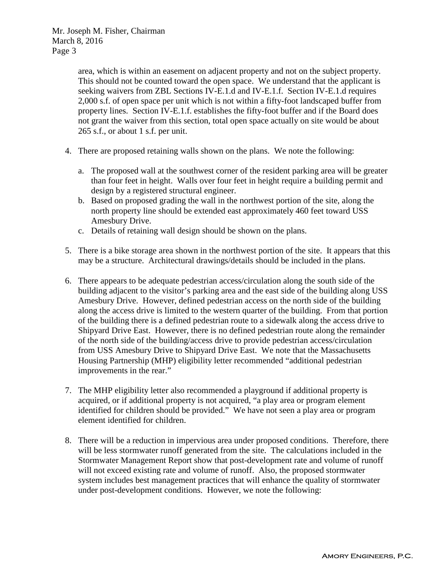> area, which is within an easement on adjacent property and not on the subject property. This should not be counted toward the open space. We understand that the applicant is seeking waivers from ZBL Sections IV-E.1.d and IV-E.1.f. Section IV-E.1.d requires 2,000 s.f. of open space per unit which is not within a fifty-foot landscaped buffer from property lines. Section IV-E.1.f. establishes the fifty-foot buffer and if the Board does not grant the waiver from this section, total open space actually on site would be about 265 s.f., or about 1 s.f. per unit.

- 4. There are proposed retaining walls shown on the plans. We note the following:
	- a. The proposed wall at the southwest corner of the resident parking area will be greater than four feet in height. Walls over four feet in height require a building permit and design by a registered structural engineer.
	- b. Based on proposed grading the wall in the northwest portion of the site, along the north property line should be extended east approximately 460 feet toward USS Amesbury Drive.
	- c. Details of retaining wall design should be shown on the plans.
- 5. There is a bike storage area shown in the northwest portion of the site. It appears that this may be a structure. Architectural drawings/details should be included in the plans.
- 6. There appears to be adequate pedestrian access/circulation along the south side of the building adjacent to the visitor's parking area and the east side of the building along USS Amesbury Drive. However, defined pedestrian access on the north side of the building along the access drive is limited to the western quarter of the building. From that portion of the building there is a defined pedestrian route to a sidewalk along the access drive to Shipyard Drive East. However, there is no defined pedestrian route along the remainder of the north side of the building/access drive to provide pedestrian access/circulation from USS Amesbury Drive to Shipyard Drive East. We note that the Massachusetts Housing Partnership (MHP) eligibility letter recommended "additional pedestrian improvements in the rear."
- 7. The MHP eligibility letter also recommended a playground if additional property is acquired, or if additional property is not acquired, "a play area or program element identified for children should be provided." We have not seen a play area or program element identified for children.
- 8. There will be a reduction in impervious area under proposed conditions. Therefore, there will be less stormwater runoff generated from the site. The calculations included in the Stormwater Management Report show that post-development rate and volume of runoff will not exceed existing rate and volume of runoff. Also, the proposed stormwater system includes best management practices that will enhance the quality of stormwater under post-development conditions. However, we note the following: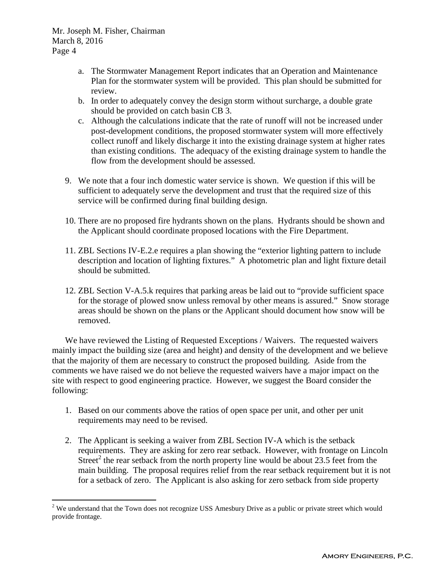- a. The Stormwater Management Report indicates that an Operation and Maintenance Plan for the stormwater system will be provided. This plan should be submitted for review.
- b. In order to adequately convey the design storm without surcharge, a double grate should be provided on catch basin CB 3.
- c. Although the calculations indicate that the rate of runoff will not be increased under post-development conditions, the proposed stormwater system will more effectively collect runoff and likely discharge it into the existing drainage system at higher rates than existing conditions. The adequacy of the existing drainage system to handle the flow from the development should be assessed.
- 9. We note that a four inch domestic water service is shown. We question if this will be sufficient to adequately serve the development and trust that the required size of this service will be confirmed during final building design.
- 10. There are no proposed fire hydrants shown on the plans. Hydrants should be shown and the Applicant should coordinate proposed locations with the Fire Department.
- 11. ZBL Sections IV-E.2.e requires a plan showing the "exterior lighting pattern to include description and location of lighting fixtures." A photometric plan and light fixture detail should be submitted.
- 12. ZBL Section V-A.5.k requires that parking areas be laid out to "provide sufficient space for the storage of plowed snow unless removal by other means is assured." Snow storage areas should be shown on the plans or the Applicant should document how snow will be removed.

We have reviewed the Listing of Requested Exceptions / Waivers. The requested waivers mainly impact the building size (area and height) and density of the development and we believe that the majority of them are necessary to construct the proposed building. Aside from the comments we have raised we do not believe the requested waivers have a major impact on the site with respect to good engineering practice. However, we suggest the Board consider the following:

- 1. Based on our comments above the ratios of open space per unit, and other per unit requirements may need to be revised.
- 2. The Applicant is seeking a waiver from ZBL Section IV-A which is the setback requirements. They are asking for zero rear setback. However, with frontage on Lincoln Street<sup>2</sup> the rear setback from the north property line would be about 23.5 feet from the main building. The proposal requires relief from the rear setback requirement but it is not for a setback of zero. The Applicant is also asking for zero setback from side property

<sup>&</sup>lt;sup>2</sup> We understand that the Town does not recognize USS Amesbury Drive as a public or private street which would provide frontage.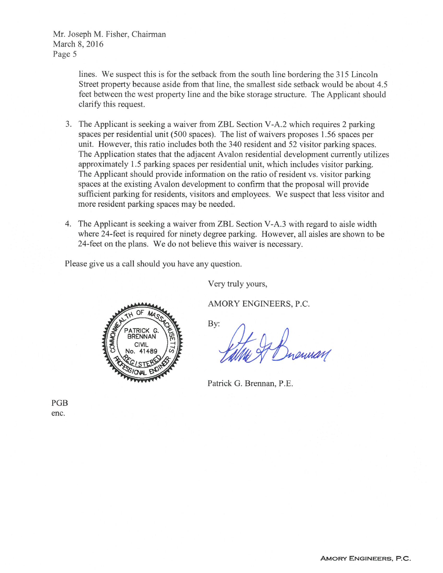> lines. We suspect this is for the setback from the south line bordering the 315 Lincoln Street property because aside from that line, the smallest side setback would be about 4.5 feet between the west property line and the bike storage structure. The Applicant should clarify this request.

- 3. The Applicant is seeking a waiver from ZBL Section V-A.2 which requires 2 parking spaces per residential unit (500 spaces). The list of waivers proposes 1.56 spaces per unit. However, this ratio includes both the 340 resident and 52 visitor parking spaces. The Application states that the adjacent Avalon residential development currently utilizes approximately 1.5 parking spaces per residential unit, which includes visitor parking. The Applicant should provide information on the ratio of resident vs. visitor parking spaces at the existing Avalon development to confirm that the proposal will provide sufficient parking for residents, visitors and employees. We suspect that less visitor and more resident parking spaces may be needed.
- 4. The Applicant is seeking a waiver from ZBL Section V-A.3 with regard to aisle width where 24-feet is required for ninety degree parking. However, all aisles are shown to be 24-feet on the plans. We do not believe this waiver is necessary.

Please give us a call should you have any question.

Very truly yours,

AMORY ENGINEERS, P.C.



By:

Patrick G. Brennan, P.E.

PGB enc.